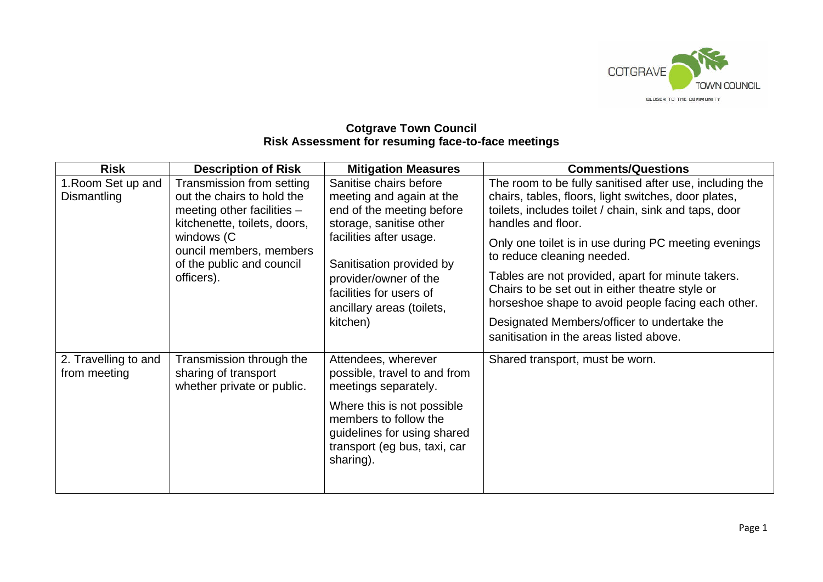

## **Cotgrave Town Council Risk Assessment for resuming face-to-face meetings**

| <b>Risk</b>                          | <b>Description of Risk</b>                                                                                                                                                                                  | <b>Mitigation Measures</b>                                                                                                                                                                                                                                     | <b>Comments/Questions</b>                                                                                                                                                                                                                                                                                                                                                                                                                                                                                                                    |
|--------------------------------------|-------------------------------------------------------------------------------------------------------------------------------------------------------------------------------------------------------------|----------------------------------------------------------------------------------------------------------------------------------------------------------------------------------------------------------------------------------------------------------------|----------------------------------------------------------------------------------------------------------------------------------------------------------------------------------------------------------------------------------------------------------------------------------------------------------------------------------------------------------------------------------------------------------------------------------------------------------------------------------------------------------------------------------------------|
| 1. Room Set up and<br>Dismantling    | Transmission from setting<br>out the chairs to hold the<br>meeting other facilities $-$<br>kitchenette, toilets, doors,<br>windows (C<br>ouncil members, members<br>of the public and council<br>officers). | Sanitise chairs before<br>meeting and again at the<br>end of the meeting before<br>storage, sanitise other<br>facilities after usage.<br>Sanitisation provided by<br>provider/owner of the<br>facilities for users of<br>ancillary areas (toilets,<br>kitchen) | The room to be fully sanitised after use, including the<br>chairs, tables, floors, light switches, door plates,<br>toilets, includes toilet / chain, sink and taps, door<br>handles and floor.<br>Only one toilet is in use during PC meeting evenings<br>to reduce cleaning needed.<br>Tables are not provided, apart for minute takers.<br>Chairs to be set out in either theatre style or<br>horseshoe shape to avoid people facing each other.<br>Designated Members/officer to undertake the<br>sanitisation in the areas listed above. |
| 2. Travelling to and<br>from meeting | Transmission through the<br>sharing of transport<br>whether private or public.                                                                                                                              | Attendees, wherever<br>possible, travel to and from<br>meetings separately.<br>Where this is not possible<br>members to follow the<br>guidelines for using shared<br>transport (eg bus, taxi, car<br>sharing).                                                 | Shared transport, must be worn.                                                                                                                                                                                                                                                                                                                                                                                                                                                                                                              |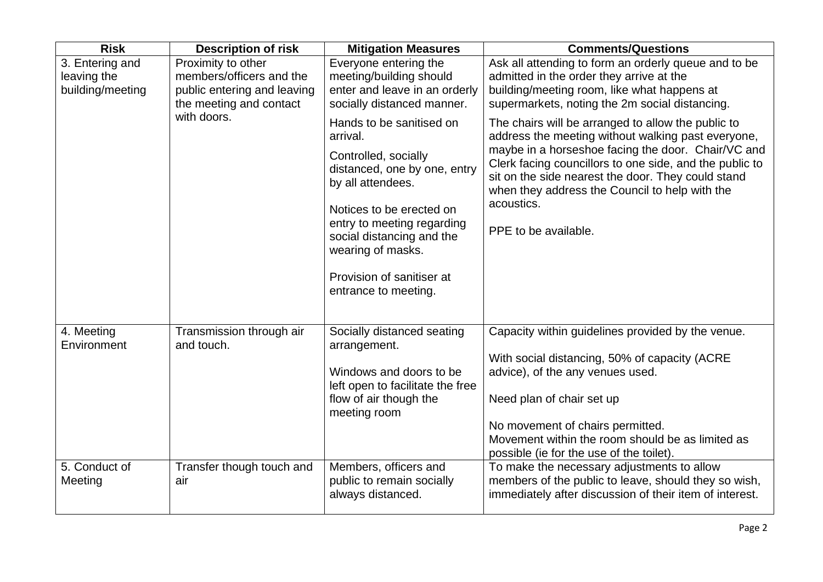| <b>Risk</b>                                        | <b>Description of risk</b>                                                                               | <b>Mitigation Measures</b>                                                                                                                                                                                                                                                         | <b>Comments/Questions</b>                                                                                                                                                                                                                                                                                                                                               |
|----------------------------------------------------|----------------------------------------------------------------------------------------------------------|------------------------------------------------------------------------------------------------------------------------------------------------------------------------------------------------------------------------------------------------------------------------------------|-------------------------------------------------------------------------------------------------------------------------------------------------------------------------------------------------------------------------------------------------------------------------------------------------------------------------------------------------------------------------|
| 3. Entering and<br>leaving the<br>building/meeting | Proximity to other<br>members/officers and the<br>public entering and leaving<br>the meeting and contact | Everyone entering the<br>meeting/building should<br>enter and leave in an orderly<br>socially distanced manner.                                                                                                                                                                    | Ask all attending to form an orderly queue and to be<br>admitted in the order they arrive at the<br>building/meeting room, like what happens at<br>supermarkets, noting the 2m social distancing.                                                                                                                                                                       |
|                                                    | with doors.                                                                                              | Hands to be sanitised on<br>arrival.<br>Controlled, socially<br>distanced, one by one, entry<br>by all attendees.<br>Notices to be erected on<br>entry to meeting regarding<br>social distancing and the<br>wearing of masks.<br>Provision of sanitiser at<br>entrance to meeting. | The chairs will be arranged to allow the public to<br>address the meeting without walking past everyone,<br>maybe in a horseshoe facing the door. Chair/VC and<br>Clerk facing councillors to one side, and the public to<br>sit on the side nearest the door. They could stand<br>when they address the Council to help with the<br>acoustics.<br>PPE to be available. |
| 4. Meeting<br>Environment                          | Transmission through air<br>and touch.                                                                   | Socially distanced seating<br>arrangement.<br>Windows and doors to be<br>left open to facilitate the free<br>flow of air though the<br>meeting room                                                                                                                                | Capacity within guidelines provided by the venue.<br>With social distancing, 50% of capacity (ACRE<br>advice), of the any venues used.<br>Need plan of chair set up<br>No movement of chairs permitted.<br>Movement within the room should be as limited as<br>possible (ie for the use of the toilet).                                                                 |
| 5. Conduct of<br>Meeting                           | Transfer though touch and<br>air                                                                         | Members, officers and<br>public to remain socially<br>always distanced.                                                                                                                                                                                                            | To make the necessary adjustments to allow<br>members of the public to leave, should they so wish,<br>immediately after discussion of their item of interest.                                                                                                                                                                                                           |